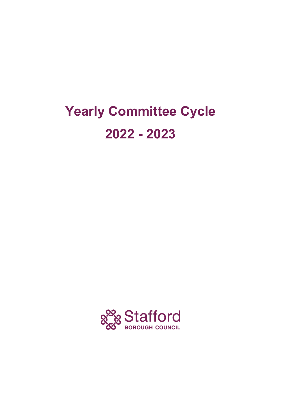# **Yearly Committee Cycle 2022 - 2023**

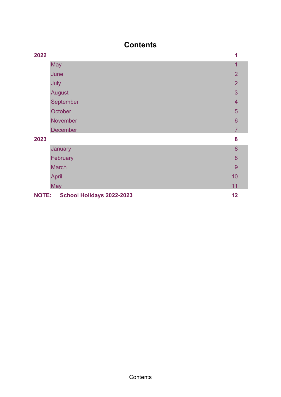## **Contents**

| 2022         |                           | 1              |
|--------------|---------------------------|----------------|
|              | <b>May</b>                | 1              |
|              | June                      | $\overline{2}$ |
|              | July                      | $\overline{2}$ |
|              | <b>August</b>             | 3              |
|              | September                 | $\overline{4}$ |
|              | October                   | 5              |
|              | November                  | 6              |
|              | <b>December</b>           | $\overline{7}$ |
| 2023         |                           | 8              |
|              | January                   | 8              |
|              | February                  | 8              |
|              | <b>March</b>              | 9              |
|              | April                     | 10             |
|              | <b>May</b>                | 11             |
| <b>NOTE:</b> | School Holidays 2022-2023 | 12             |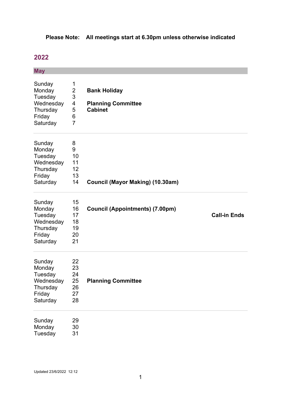## **Please Note: All meetings start at 6.30pm unless otherwise indicated**

## <span id="page-2-0"></span>**2022**

<span id="page-2-1"></span>

| <b>May</b>                                                                 |                                                                                              |                                                                    |                     |
|----------------------------------------------------------------------------|----------------------------------------------------------------------------------------------|--------------------------------------------------------------------|---------------------|
| Sunday<br>Monday<br>Tuesday<br>Wednesday<br>Thursday<br>Friday<br>Saturday | 1<br>$\overline{2}$<br>$\mathfrak{S}$<br>$\overline{\mathbf{4}}$<br>5<br>6<br>$\overline{7}$ | <b>Bank Holiday</b><br><b>Planning Committee</b><br><b>Cabinet</b> |                     |
| Sunday<br>Monday<br>Tuesday<br>Wednesday<br>Thursday<br>Friday<br>Saturday | 8<br>9<br>10<br>11<br>12<br>13<br>14                                                         | <b>Council (Mayor Making) (10.30am)</b>                            |                     |
| Sunday<br>Monday<br>Tuesday<br>Wednesday<br>Thursday<br>Friday<br>Saturday | 15<br>16<br>17<br>18<br>19<br>20<br>21                                                       | <b>Council (Appointments) (7.00pm)</b>                             | <b>Call-in Ends</b> |
| Sunday<br>Monday<br>Tuesday<br>Wednesday<br>Thursday<br>Friday<br>Saturday | 22<br>23<br>24<br>25<br>26<br>27<br>28                                                       | <b>Planning Committee</b>                                          |                     |
| Sunday<br>Monday<br>Tuesday                                                | 29<br>30<br>31                                                                               |                                                                    |                     |

#### Updated 23/6/2022 12:12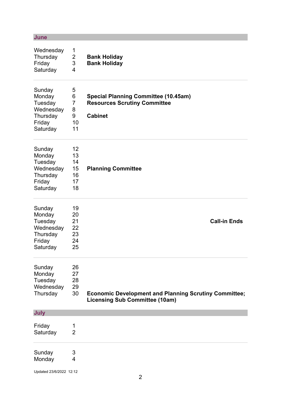<span id="page-3-1"></span><span id="page-3-0"></span>

| June                                                                       |                                                |                                                                                                       |
|----------------------------------------------------------------------------|------------------------------------------------|-------------------------------------------------------------------------------------------------------|
| Wednesday<br>Thursday<br>Friday<br>Saturday                                | 1<br>$\overline{2}$<br>3<br>$\overline{4}$     | <b>Bank Holiday</b><br><b>Bank Holiday</b>                                                            |
| Sunday<br>Monday<br>Tuesday<br>Wednesday<br>Thursday<br>Friday<br>Saturday | 5<br>6<br>$\overline{7}$<br>8<br>9<br>10<br>11 | <b>Special Planning Committee (10.45am)</b><br><b>Resources Scrutiny Committee</b><br><b>Cabinet</b>  |
| Sunday<br>Monday<br>Tuesday<br>Wednesday<br>Thursday<br>Friday<br>Saturday | 12<br>13<br>14<br>15<br>16<br>17<br>18         | <b>Planning Committee</b>                                                                             |
| Sunday<br>Monday<br>Tuesday<br>Wednesday<br>Thursday<br>Friday<br>Saturday | 19<br>20<br>21<br>22<br>23<br>24<br>25         | <b>Call-in Ends</b>                                                                                   |
| Sunday<br>Monday<br>Tuesday<br>Wednesday<br>Thursday                       | 26<br>27<br>28<br>29<br>30                     | <b>Economic Development and Planning Scrutiny Committee;</b><br><b>Licensing Sub Committee (10am)</b> |
| July                                                                       |                                                |                                                                                                       |
| Friday<br>Saturday                                                         | 1<br>$\overline{2}$                            |                                                                                                       |
| Sunday<br>Monday                                                           | 3<br>4                                         |                                                                                                       |
| Updated 23/6/2022 12:12                                                    |                                                |                                                                                                       |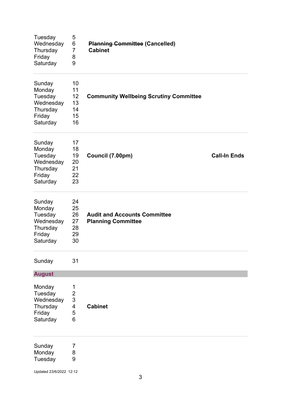<span id="page-4-0"></span>

| Tuesday<br>Wednesday<br>Thursday<br>Friday<br>Saturday                     | 5<br>6<br>$\overline{7}$<br>8<br>9                       | <b>Planning Committee (Cancelled)</b><br><b>Cabinet</b>          |                     |
|----------------------------------------------------------------------------|----------------------------------------------------------|------------------------------------------------------------------|---------------------|
| Sunday<br>Monday<br>Tuesday<br>Wednesday<br>Thursday<br>Friday<br>Saturday | 10<br>11<br>12<br>13<br>14<br>15<br>16                   | <b>Community Wellbeing Scrutiny Committee</b>                    |                     |
| Sunday<br>Monday<br>Tuesday<br>Wednesday<br>Thursday<br>Friday<br>Saturday | 17<br>18<br>19<br>20<br>21<br>22<br>23                   | Council (7.00pm)                                                 | <b>Call-In Ends</b> |
| Sunday<br>Monday<br>Tuesday<br>Wednesday<br>Thursday<br>Friday<br>Saturday | 24<br>25<br>26<br>27<br>28<br>29<br>30                   | <b>Audit and Accounts Committee</b><br><b>Planning Committee</b> |                     |
| Sunday<br><b>August</b>                                                    | 31                                                       |                                                                  |                     |
| Monday<br>Tuesday<br>Wednesday<br>Thursday<br>Friday<br>Saturday           | 1<br>$\frac{2}{3}$<br>$\overline{\mathcal{L}}$<br>5<br>6 | <b>Cabinet</b>                                                   |                     |
| Sunday<br>Monday<br>Tuesday                                                | 7<br>8<br>9                                              |                                                                  |                     |
| Updated 23/6/2022 12:12                                                    |                                                          |                                                                  |                     |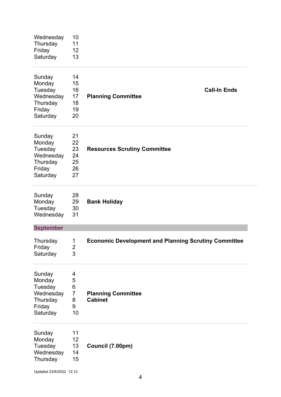<span id="page-5-0"></span>

| Wednesday<br>Thursday<br>Friday<br>Saturday                                | 10<br>11<br>12<br>13                          |                                                             |
|----------------------------------------------------------------------------|-----------------------------------------------|-------------------------------------------------------------|
| Sunday<br>Monday<br>Tuesday<br>Wednesday<br>Thursday<br>Friday<br>Saturday | 14<br>15<br>16<br>17<br>18<br>19<br>20        | <b>Call-In Ends</b><br><b>Planning Committee</b>            |
| Sunday<br>Monday<br>Tuesday<br>Wednesday<br>Thursday<br>Friday<br>Saturday | 21<br>22<br>23<br>24<br>25<br>26<br>27        | <b>Resources Scrutiny Committee</b>                         |
| Sunday<br>Monday<br>Tuesday<br>Wednesday                                   | 28<br>29<br>30<br>31                          | <b>Bank Holiday</b>                                         |
| <b>September</b>                                                           |                                               |                                                             |
| Thursday<br>Friday<br>Saturday                                             | 1<br>$\overline{2}$<br>3                      | <b>Economic Development and Planning Scrutiny Committee</b> |
| Sunday<br>Monday<br>Tuesday<br>Wednesday<br>Thursday<br>Friday<br>Saturday | 4<br>5<br>6<br>$\overline{7}$<br>8<br>9<br>10 | <b>Planning Committee</b><br><b>Cabinet</b>                 |
| Sunday<br>Monday<br>Tuesday<br>Wednesday<br>Thursday                       | 11<br>12<br>13<br>14<br>15                    | Council (7.00pm)                                            |
| Updated 23/6/2022 12:12                                                    |                                               |                                                             |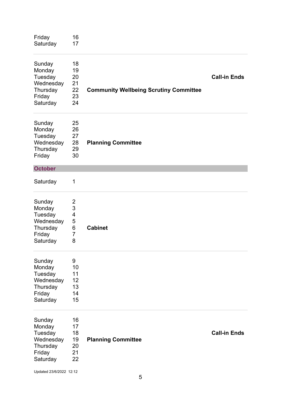<span id="page-6-0"></span>

| Friday<br>Saturday                                                         | 16<br>17                               |                                               |                     |
|----------------------------------------------------------------------------|----------------------------------------|-----------------------------------------------|---------------------|
| Sunday<br>Monday<br>Tuesday<br>Wednesday<br>Thursday<br>Friday<br>Saturday | 18<br>19<br>20<br>21<br>22<br>23<br>24 | <b>Community Wellbeing Scrutiny Committee</b> | <b>Call-in Ends</b> |
| Sunday<br>Monday<br>Tuesday<br>Wednesday<br>Thursday<br>Friday             | 25<br>26<br>27<br>28<br>29<br>30       | <b>Planning Committee</b>                     |                     |
| <b>October</b>                                                             |                                        |                                               |                     |
| Saturday                                                                   | $\mathbf 1$                            |                                               |                     |
| Sunday<br>Monday<br>Tuesday<br>Wednesday<br>Thursday<br>Friday<br>Saturday | 2<br>3<br>4<br>5<br>6<br>7<br>8        | <b>Cabinet</b>                                |                     |
| Sunday<br>Monday<br>Tuesday<br>Wednesday<br>Thursday<br>Friday<br>Saturday | 9<br>10<br>11<br>12<br>13<br>14<br>15  |                                               |                     |
| Sunday<br>Monday<br>Tuesday<br>Wednesday<br>Thursday<br>Friday<br>Saturday | 16<br>17<br>18<br>19<br>20<br>21<br>22 | <b>Planning Committee</b>                     | <b>Call-in Ends</b> |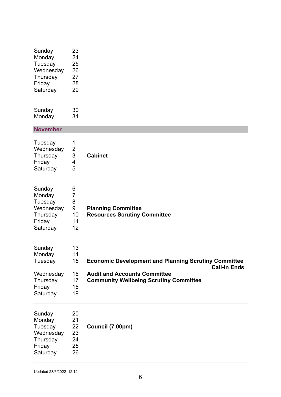<span id="page-7-0"></span>

| Sunday<br>Monday<br>Tuesday<br>Wednesday<br>Thursday<br>Friday<br>Saturday | 23<br>24<br>25<br>26<br>27<br>28<br>29          |                                                                                                                                                                            |
|----------------------------------------------------------------------------|-------------------------------------------------|----------------------------------------------------------------------------------------------------------------------------------------------------------------------------|
| Sunday<br>Monday                                                           | 30<br>31                                        |                                                                                                                                                                            |
| <b>November</b>                                                            |                                                 |                                                                                                                                                                            |
| Tuesday<br>Wednesday<br>Thursday<br>Friday<br>Saturday                     | 1<br>$\overline{\mathbf{c}}$<br>3<br>4<br>5     | <b>Cabinet</b>                                                                                                                                                             |
| Sunday<br>Monday<br>Tuesday<br>Wednesday<br>Thursday<br>Friday<br>Saturday | 6<br>$\overline{7}$<br>8<br>9<br>10<br>11<br>12 | <b>Planning Committee</b><br><b>Resources Scrutiny Committee</b>                                                                                                           |
| Sunday<br>Monday<br>Tuesday<br>Wednesday<br>Thursday<br>Friday<br>Saturday | 13<br>14<br>15<br>16<br>17<br>18<br>19          | <b>Economic Development and Planning Scrutiny Committee</b><br><b>Call-in Ends</b><br><b>Audit and Accounts Committee</b><br><b>Community Wellbeing Scrutiny Committee</b> |
| Sunday<br>Monday<br>Tuesday<br>Wednesday<br>Thursday<br>Friday<br>Saturday | 20<br>21<br>22<br>23<br>24<br>25<br>26          | Council (7.00pm)                                                                                                                                                           |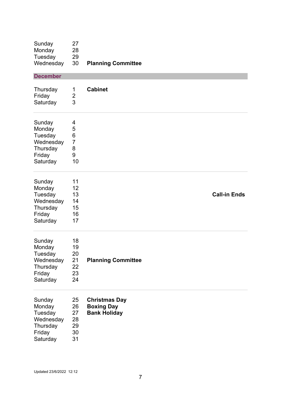<span id="page-8-0"></span>

| Sunday<br>Monday<br>Tuesday<br>Wednesday                                   | 27<br>28<br>29<br>30                          | <b>Planning Committee</b>                                        |                     |
|----------------------------------------------------------------------------|-----------------------------------------------|------------------------------------------------------------------|---------------------|
| <b>December</b>                                                            |                                               |                                                                  |                     |
| Thursday<br>Friday<br>Saturday                                             | 1<br>$\overline{2}$<br>3                      | <b>Cabinet</b>                                                   |                     |
| Sunday<br>Monday<br>Tuesday<br>Wednesday<br>Thursday<br>Friday<br>Saturday | 4<br>5<br>6<br>$\overline{7}$<br>8<br>9<br>10 |                                                                  |                     |
| Sunday<br>Monday<br>Tuesday<br>Wednesday<br>Thursday<br>Friday<br>Saturday | 11<br>12<br>13<br>14<br>15<br>16<br>17        |                                                                  | <b>Call-in Ends</b> |
| Sunday<br>Monday<br>Tuesday<br>Wednesday<br>Thursday<br>Friday<br>Saturday | 18<br>19<br>20<br>21<br>22<br>23<br>24        | <b>Planning Committee</b>                                        |                     |
| Sunday<br>Monday<br>Tuesday<br>Wednesday<br>Thursday<br>Friday<br>Saturday | 25<br>26<br>27<br>28<br>29<br>30<br>31        | <b>Christmas Day</b><br><b>Boxing Day</b><br><b>Bank Holiday</b> |                     |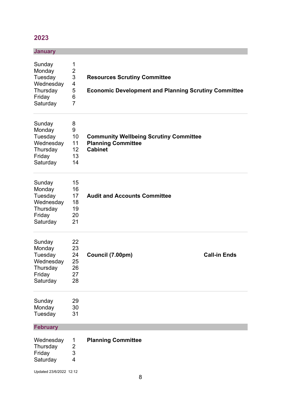## <span id="page-9-0"></span>**2023**

<span id="page-9-1"></span>

| <b>January</b>                                                             |                                                                                   |                                                                                                    |
|----------------------------------------------------------------------------|-----------------------------------------------------------------------------------|----------------------------------------------------------------------------------------------------|
| Sunday<br>Monday<br>Tuesday<br>Wednesday<br>Thursday<br>Friday<br>Saturday | 1<br>$\overline{2}$<br>$\ensuremath{\mathsf{3}}$<br>4<br>5<br>6<br>$\overline{7}$ | <b>Resources Scrutiny Committee</b><br><b>Economic Development and Planning Scrutiny Committee</b> |
| Sunday<br>Monday<br>Tuesday<br>Wednesday<br>Thursday<br>Friday<br>Saturday | 8<br>9<br>10<br>11<br>12<br>13<br>14                                              | <b>Community Wellbeing Scrutiny Committee</b><br><b>Planning Committee</b><br><b>Cabinet</b>       |
| Sunday<br>Monday<br>Tuesday<br>Wednesday<br>Thursday<br>Friday<br>Saturday | 15<br>16<br>17<br>18<br>19<br>20<br>21                                            | <b>Audit and Accounts Committee</b>                                                                |
| Sunday<br>Monday<br>Tuesday<br>Wednesday<br>Thursday<br>Friday<br>Saturday | 22<br>23<br>24<br>25<br>26<br>27<br>28                                            | <b>Call-in Ends</b><br>Council (7.00pm)                                                            |
| Sunday<br>Monday<br>Tuesday                                                | 29<br>30<br>31                                                                    |                                                                                                    |
| <b>February</b>                                                            |                                                                                   |                                                                                                    |
| Wednesday<br>Thursday<br>Friday<br>Saturday                                | 1<br>$\overline{2}$<br>3<br>$\overline{4}$                                        | <b>Planning Committee</b>                                                                          |
|                                                                            |                                                                                   |                                                                                                    |

<span id="page-9-2"></span>Updated 23/6/2022 12:12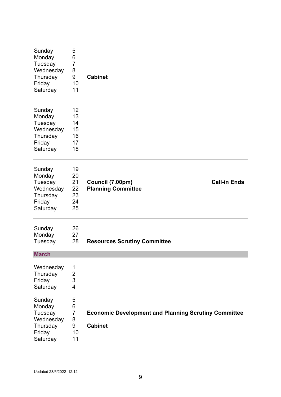<span id="page-10-0"></span>

| Sunday<br>Monday<br>Tuesday<br>Wednesday<br>Thursday<br>Friday<br>Saturday | 5<br>6<br>$\overline{7}$<br>8<br>9<br>10<br>11     | <b>Cabinet</b>                                                                |
|----------------------------------------------------------------------------|----------------------------------------------------|-------------------------------------------------------------------------------|
| Sunday<br>Monday<br>Tuesday<br>Wednesday<br>Thursday<br>Friday<br>Saturday | 12<br>13<br>14<br>15<br>16<br>17<br>18             |                                                                               |
| Sunday<br>Monday<br>Tuesday<br>Wednesday<br>Thursday<br>Friday<br>Saturday | 19<br>20<br>21<br>22<br>23<br>24<br>25             | <b>Call-in Ends</b><br>Council (7.00pm)<br><b>Planning Committee</b>          |
| Sunday<br>Monday<br>Tuesday                                                | 26<br>27<br>28                                     | <b>Resources Scrutiny Committee</b>                                           |
| <b>March</b>                                                               |                                                    |                                                                               |
| Wednesday<br>Thursday<br>Friday<br>Saturday                                | 1<br>$\frac{2}{3}$<br>4                            |                                                                               |
| Sunday<br>Monday<br>Tuesday<br>Wednesday<br>Thursday<br>Friday<br>Saturday | 5<br>$\,6$<br>$\overline{7}$<br>8<br>9<br>10<br>11 | <b>Economic Development and Planning Scrutiny Committee</b><br><b>Cabinet</b> |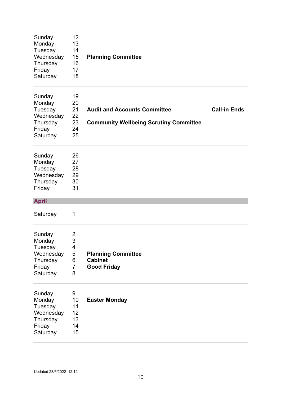<span id="page-11-0"></span>

| Sunday<br>Monday<br>Tuesday<br>Wednesday<br>Thursday<br>Friday<br>Saturday | 12<br>13<br>14<br>15<br>16<br>17<br>18           | <b>Planning Committee</b>                                                            |                     |
|----------------------------------------------------------------------------|--------------------------------------------------|--------------------------------------------------------------------------------------|---------------------|
| Sunday<br>Monday<br>Tuesday<br>Wednesday<br>Thursday<br>Friday<br>Saturday | 19<br>20<br>21<br>22<br>23<br>24<br>25           | <b>Audit and Accounts Committee</b><br><b>Community Wellbeing Scrutiny Committee</b> | <b>Call-in Ends</b> |
| Sunday<br>Monday<br>Tuesday<br>Wednesday<br>Thursday<br>Friday             | 26<br>27<br>28<br>29<br>30<br>31                 |                                                                                      |                     |
| <b>April</b>                                                               |                                                  |                                                                                      |                     |
| Saturday                                                                   | 1                                                |                                                                                      |                     |
| Sunday<br>Monday<br>Tuesday<br>Wednesday<br>Thursday<br>Friday<br>Saturday | 2<br>3<br>4<br>5<br>$\,6$<br>$\overline{7}$<br>8 | <b>Planning Committee</b><br><b>Cabinet</b><br><b>Good Friday</b>                    |                     |
| Sunday<br>Monday<br>Tuesday<br>Wednesday<br>Thursday<br>Friday<br>Saturday | 9<br>10<br>11<br>12<br>13<br>14<br>15            | <b>Easter Monday</b>                                                                 |                     |

#### Updated 23/6/2022 12:12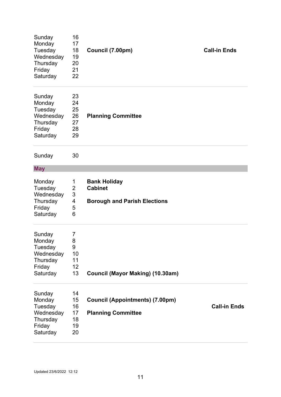<span id="page-12-0"></span>

| Sunday<br>Monday<br>Tuesday<br>Wednesday<br>Thursday<br>Friday<br>Saturday | 16<br>17<br>18<br>19<br>20<br>21<br>22  | Council (7.00pm)                                                             | <b>Call-in Ends</b> |
|----------------------------------------------------------------------------|-----------------------------------------|------------------------------------------------------------------------------|---------------------|
| Sunday<br>Monday<br>Tuesday<br>Wednesday<br>Thursday<br>Friday<br>Saturday | 23<br>24<br>25<br>26<br>27<br>28<br>29  | <b>Planning Committee</b>                                                    |                     |
| Sunday                                                                     | 30                                      |                                                                              |                     |
| <b>May</b>                                                                 |                                         |                                                                              |                     |
| Monday<br>Tuesday<br>Wednesday<br>Thursday<br>Friday<br>Saturday           | 1<br>$\overline{2}$<br>3<br>4<br>5<br>6 | <b>Bank Holiday</b><br><b>Cabinet</b><br><b>Borough and Parish Elections</b> |                     |
| Sunday<br>Monday<br>Tuesday<br>Wednesday<br>Thursday<br>Friday<br>Saturday | 7<br>8<br>9<br>10<br>11<br>12<br>13     | Council (Mayor Making) (10.30am)                                             |                     |
| Sunday<br>Monday<br>Tuesday<br>Wednesday<br>Thursday<br>Friday<br>Saturday | 14<br>15<br>16<br>17<br>18<br>19<br>20  | <b>Council (Appointments) (7.00pm)</b><br><b>Planning Committee</b>          | <b>Call-in Ends</b> |

#### Updated 23/6/2022 12:12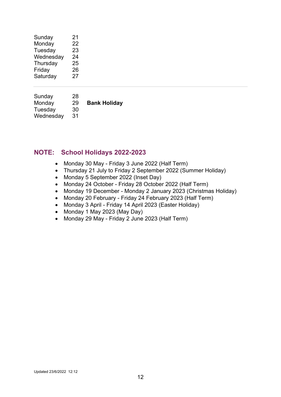| Sunday<br>Monday<br>Tuesday<br>Wednesday<br>Thursday<br>Friday | 21<br>22<br>23<br>24<br>25<br>26 |                     |  |  |
|----------------------------------------------------------------|----------------------------------|---------------------|--|--|
| Saturday                                                       | 27                               |                     |  |  |
| Sunday<br>Monday<br>Tuesday<br>Wednesday                       | 28<br>29<br>30<br>31             | <b>Bank Holiday</b> |  |  |

### <span id="page-13-0"></span>**NOTE: School Holidays 2022-2023**

- Monday 30 May Friday 3 June 2022 (Half Term)
- Thursday 21 July to Friday 2 September 2022 (Summer Holiday)
- Monday 5 September 2022 (Inset Day)
- Monday 24 October Friday 28 October 2022 (Half Term)
- Monday 19 December Monday 2 January 2023 (Christmas Holiday)
- Monday 20 February Friday 24 February 2023 (Half Term)
- Monday 3 April Friday 14 April 2023 (Easter Holiday)
- Monday 1 May 2023 (May Day)
- Monday 29 May Friday 2 June 2023 (Half Term)

#### Updated 23/6/2022 12:12